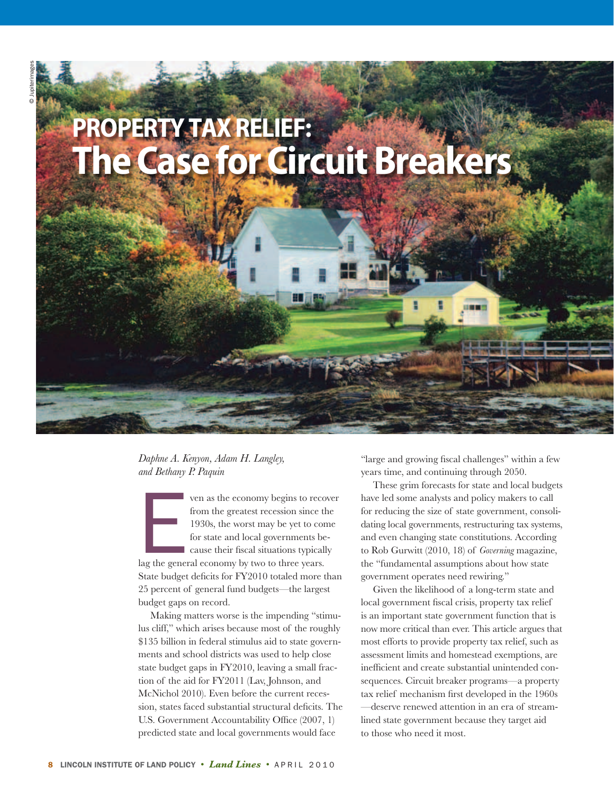# **Property Tax Relief: The Case for Circuit Breakers**

理論語

*Daphne A. Kenyon, Adam H. Langley, and Bethany P. Paquin*

ven as the economy begins to record from the greatest recession since to 1930s, the worst may be yet to comprise to the version of the cause their fiscal situations typical lag the general economy by two to three years. ven as the economy begins to recover from the greatest recession since the 1930s, the worst may be yet to come for state and local governments be-**Exercise their fiscal situations typically** State budget deficits for FY2010 totaled more than 25 percent of general fund budgets—the largest budget gaps on record.

 Making matters worse is the impending "stimulus cliff," which arises because most of the roughly \$135 billion in federal stimulus aid to state governments and school districts was used to help close state budget gaps in FY2010, leaving a small fraction of the aid for FY2011 (Lav, Johnson, and McNichol 2010). Even before the current recession, states faced substantial structural deficits. The U.S. Government Accountability Office (2007, 1) predicted state and local governments would face

"large and growing fiscal challenges" within a few years time, and continuing through 2050.

These grim forecasts for state and local budgets have led some analysts and policy makers to call for reducing the size of state government, consolidating local governments, restructuring tax systems, and even changing state constitutions. According to Rob Gurwitt (2010, 18) of *Governing* magazine, the "fundamental assumptions about how state government operates need rewiring."

 Given the likelihood of a long-term state and local government fiscal crisis, property tax relief is an important state government function that is now more critical than ever. This article argues that most efforts to provide property tax relief, such as assessment limits and homestead exemptions, are inefficient and create substantial unintended consequences. Circuit breaker programs—a property tax relief mechanism first developed in the 1960s —deserve renewed attention in an era of streamlined state government because they target aid to those who need it most.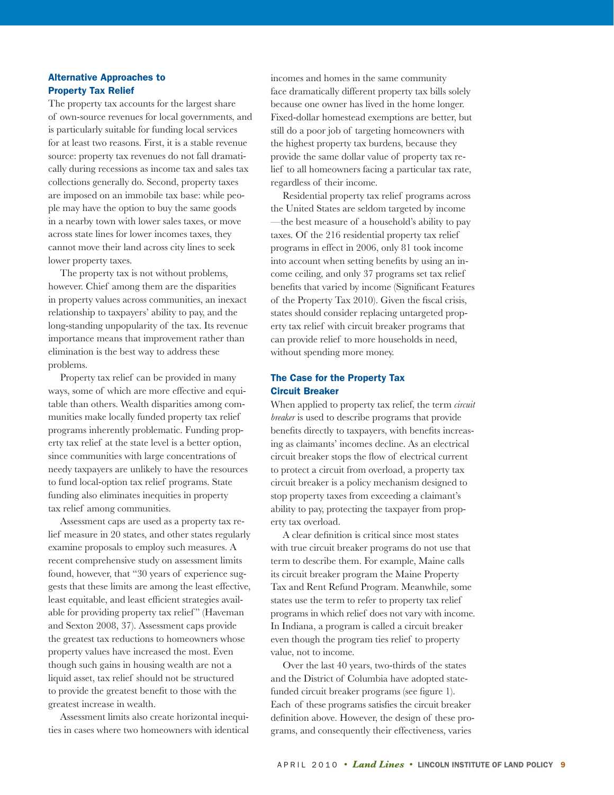### Alternative Approaches to Property Tax Relief

The property tax accounts for the largest share of own-source revenues for local governments, and is particularly suitable for funding local services for at least two reasons. First, it is a stable revenue source: property tax revenues do not fall dramatically during recessions as income tax and sales tax collections generally do. Second, property taxes are imposed on an immobile tax base: while people may have the option to buy the same goods in a nearby town with lower sales taxes, or move across state lines for lower incomes taxes, they cannot move their land across city lines to seek lower property taxes.

The property tax is not without problems, however. Chief among them are the disparities in property values across communities, an inexact relationship to taxpayers' ability to pay, and the long-standing unpopularity of the tax. Its revenue importance means that improvement rather than elimination is the best way to address these problems.

 Property tax relief can be provided in many ways, some of which are more effective and equitable than others. Wealth disparities among communities make locally funded property tax relief programs inherently problematic. Funding property tax relief at the state level is a better option, since communities with large concentrations of needy taxpayers are unlikely to have the resources to fund local-option tax relief programs. State funding also eliminates inequities in property tax relief among communities.

Assessment caps are used as a property tax relief measure in 20 states, and other states regularly examine proposals to employ such measures. A recent comprehensive study on assessment limits found, however, that "30 years of experience suggests that these limits are among the least effective, least equitable, and least efficient strategies available for providing property tax relief" (Haveman and Sexton 2008, 37). Assessment caps provide the greatest tax reductions to homeowners whose property values have increased the most. Even though such gains in housing wealth are not a liquid asset, tax relief should not be structured to provide the greatest benefit to those with the greatest increase in wealth.

Assessment limits also create horizontal inequities in cases where two homeowners with identical incomes and homes in the same community face dramatically different property tax bills solely because one owner has lived in the home longer. Fixed-dollar homestead exemptions are better, but still do a poor job of targeting homeowners with the highest property tax burdens, because they provide the same dollar value of property tax relief to all homeowners facing a particular tax rate, regardless of their income.

Residential property tax relief programs across the United States are seldom targeted by income —the best measure of a household's ability to pay taxes. Of the 216 residential property tax relief programs in effect in 2006, only 81 took income into account when setting benefits by using an income ceiling, and only 37 programs set tax relief benefits that varied by income (Significant Features of the Property Tax 2010). Given the fiscal crisis, states should consider replacing untargeted property tax relief with circuit breaker programs that can provide relief to more households in need, without spending more money.

## The Case for the Property Tax Circuit Breaker

When applied to property tax relief, the term *circuit breaker* is used to describe programs that provide benefits directly to taxpayers, with benefits increasing as claimants' incomes decline. As an electrical circuit breaker stops the flow of electrical current to protect a circuit from overload, a property tax circuit breaker is a policy mechanism designed to stop property taxes from exceeding a claimant's ability to pay, protecting the taxpayer from property tax overload.

A clear definition is critical since most states with true circuit breaker programs do not use that term to describe them. For example, Maine calls its circuit breaker program the Maine Property Tax and Rent Refund Program. Meanwhile, some states use the term to refer to property tax relief programs in which relief does not vary with income. In Indiana, a program is called a circuit breaker even though the program ties relief to property value, not to income.

Over the last 40 years, two-thirds of the states and the District of Columbia have adopted statefunded circuit breaker programs (see figure 1). Each of these programs satisfies the circuit breaker definition above. However, the design of these programs, and consequently their effectiveness, varies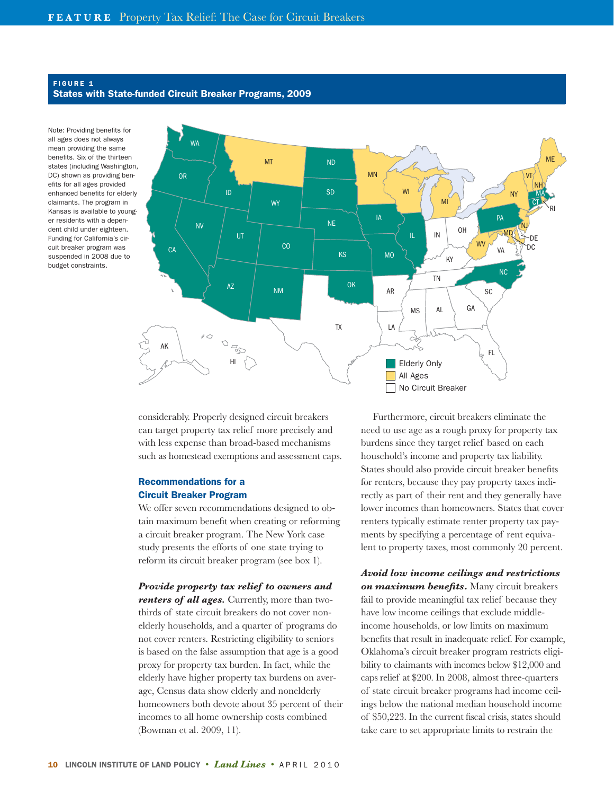#### FIGURE 1 States with State-funded Circuit Breaker Programs, 2009

Note: Providing benefits for all ages does not always mean providing the same benefits. Six of the thirteen states (including Washington, DC) shown as providing benefits for all ages provided enhanced benefits for elderly claimants. The program in Kansas is available to younger residents with a dependent child under eighteen. Funding for California's circuit breaker program was suspended in 2008 due to budget constraints.



considerably. Properly designed circuit breakers can target property tax relief more precisely and with less expense than broad-based mechanisms such as homestead exemptions and assessment caps.

## Recommendations for a Circuit Breaker Program

We offer seven recommendations designed to obtain maximum benefit when creating or reforming a circuit breaker program. The New York case study presents the efforts of one state trying to reform its circuit breaker program (see box 1).

*Provide property tax relief to owners and renters of all ages.* Currently, more than twothirds of state circuit breakers do not cover nonelderly households, and a quarter of programs do not cover renters. Restricting eligibility to seniors is based on the false assumption that age is a good proxy for property tax burden. In fact, while the elderly have higher property tax burdens on average, Census data show elderly and nonelderly homeowners both devote about 35 percent of their incomes to all home ownership costs combined (Bowman et al. 2009, 11).

 Furthermore, circuit breakers eliminate the need to use age as a rough proxy for property tax burdens since they target relief based on each household's income and property tax liability. States should also provide circuit breaker benefits for renters, because they pay property taxes indirectly as part of their rent and they generally have lower incomes than homeowners. States that cover renters typically estimate renter property tax payments by specifying a percentage of rent equivalent to property taxes, most commonly 20 percent.

*Avoid low income ceilings and restrictions on maximum benefits***.** Many circuit breakers fail to provide meaningful tax relief because they have low income ceilings that exclude middleincome households, or low limits on maximum benefits that result in inadequate relief. For example, Oklahoma's circuit breaker program restricts eligibility to claimants with incomes below \$12,000 and caps relief at \$200. In 2008, almost three-quarters of state circuit breaker programs had income ceilings below the national median household income of \$50,223. In the current fiscal crisis, states should take care to set appropriate limits to restrain the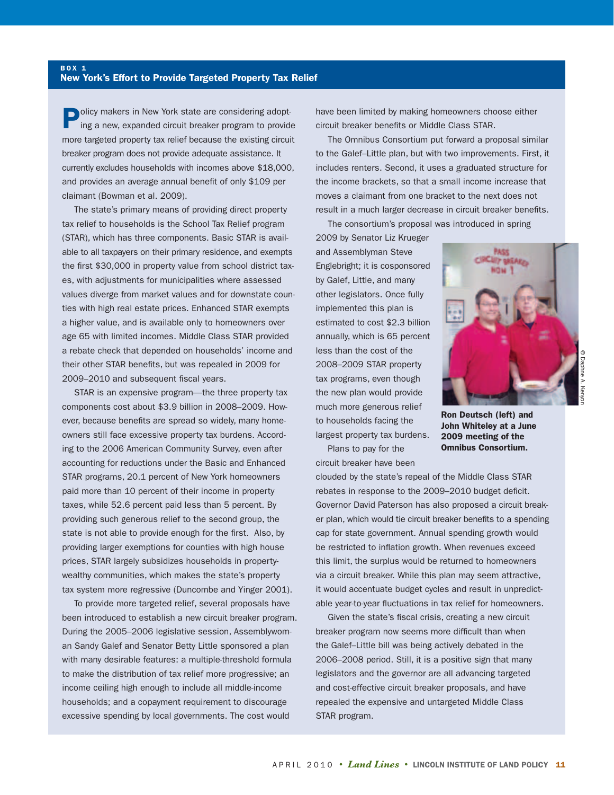## New York's Effort to Provide Targeted Property Tax Relief

**BOX 1** 

**Policy makers in New York state are considering adopt**ing a new, expanded circuit breaker program to provide more targeted property tax relief because the existing circuit breaker program does not provide adequate assistance. It currently excludes households with incomes above \$18,000, and provides an average annual benefit of only \$109 per claimant (Bowman et al. 2009).

The state's primary means of providing direct property tax relief to households is the School Tax Relief program (STAR), which has three components. Basic STAR is available to all taxpayers on their primary residence, and exempts the first \$30,000 in property value from school district taxes, with adjustments for municipalities where assessed values diverge from market values and for downstate counties with high real estate prices. Enhanced STAR exempts a higher value, and is available only to homeowners over age 65 with limited incomes. Middle Class STAR provided a rebate check that depended on households' income and their other STAR benefits, but was repealed in 2009 for 2009–2010 and subsequent fiscal years.

STAR is an expensive program—the three property tax components cost about \$3.9 billion in 2008–2009. However, because benefits are spread so widely, many homeowners still face excessive property tax burdens. According to the 2006 American Community Survey, even after accounting for reductions under the Basic and Enhanced STAR programs, 20.1 percent of New York homeowners paid more than 10 percent of their income in property taxes, while 52.6 percent paid less than 5 percent. By providing such generous relief to the second group, the state is not able to provide enough for the first. Also, by providing larger exemptions for counties with high house prices, STAR largely subsidizes households in propertywealthy communities, which makes the state's property tax system more regressive (Duncombe and Yinger 2001).

To provide more targeted relief, several proposals have been introduced to establish a new circuit breaker program. During the 2005–2006 legislative session, Assemblywoman Sandy Galef and Senator Betty Little sponsored a plan with many desirable features: a multiple-threshold formula to make the distribution of tax relief more progressive; an income ceiling high enough to include all middle-income households; and a copayment requirement to discourage excessive spending by local governments. The cost would

have been limited by making homeowners choose either circuit breaker benefits or Middle Class STAR.

The Omnibus Consortium put forward a proposal similar to the Galef–Little plan, but with two improvements. First, it includes renters. Second, it uses a graduated structure for the income brackets, so that a small income increase that moves a claimant from one bracket to the next does not result in a much larger decrease in circuit breaker benefits.

The consortium's proposal was introduced in spring

2009 by Senator Liz Krueger and Assemblyman Steve Englebright; it is cosponsored by Galef, Little, and many other legislators. Once fully implemented this plan is estimated to cost \$2.3 billion annually, which is 65 percent less than the cost of the 2008–2009 STAR property tax programs, even though the new plan would provide much more generous relief to households facing the largest property tax burdens.



© Daphne A. Kenyon

Ron Deutsch (left) and John Whiteley at a June 2009 meeting of the Omnibus Consortium.

 Plans to pay for the circuit breaker have been

clouded by the state's repeal of the Middle Class STAR rebates in response to the 2009–2010 budget deficit. Governor David Paterson has also proposed a circuit breaker plan, which would tie circuit breaker benefits to a spending cap for state government. Annual spending growth would be restricted to inflation growth. When revenues exceed this limit, the surplus would be returned to homeowners via a circuit breaker. While this plan may seem attractive, it would accentuate budget cycles and result in unpredictable year-to-year fluctuations in tax relief for homeowners.

Given the state's fiscal crisis, creating a new circuit breaker program now seems more difficult than when the Galef–Little bill was being actively debated in the 2006–2008 period. Still, it is a positive sign that many legislators and the governor are all advancing targeted and cost-effective circuit breaker proposals, and have repealed the expensive and untargeted Middle Class STAR program.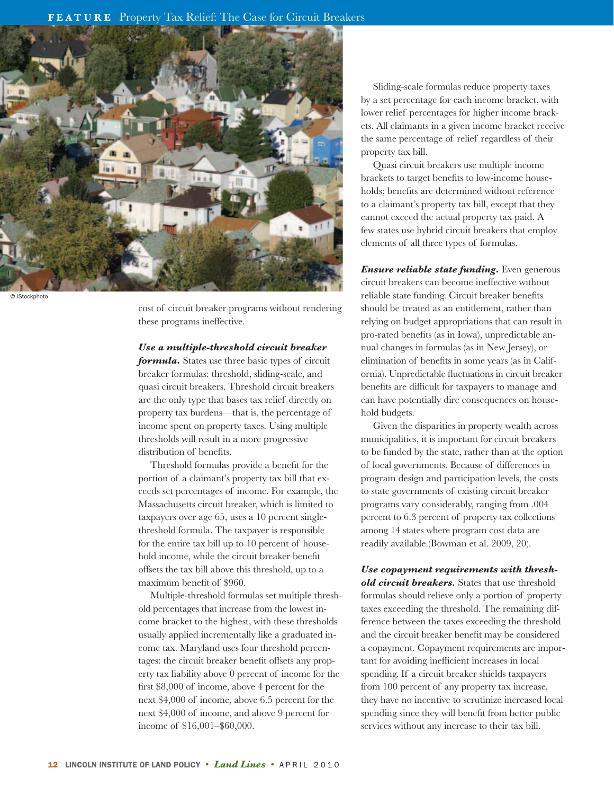

© iStockphoto

cost of circuit breaker programs without rendering these programs ineffective.

#### *Use a multiple-threshold circuit breaker*

*formula***.** States use three basic types of circuit breaker formulas: threshold, sliding-scale, and quasi circuit breakers. Threshold circuit breakers are the only type that bases tax relief directly on property tax burdens—that is, the percentage of income spent on property taxes. Using multiple thresholds will result in a more progressive distribution of benefits.

Threshold formulas provide a benefit for the portion of a claimant's property tax bill that exceeds set percentages of income. For example, the Massachusetts circuit breaker, which is limited to taxpayers over age 65, uses a 10 percent singlethreshold formula. The taxpayer is responsible for the entire tax bill up to 10 percent of household income, while the circuit breaker benefit offsets the tax bill above this threshold, up to a maximum benefit of \$960.

 Multiple-threshold formulas set multiple threshold percentages that increase from the lowest income bracket to the highest, with these thresholds usually applied incrementally like a graduated income tax. Maryland uses four threshold percentages: the circuit breaker benefit offsets any property tax liability above 0 percent of income for the first \$8,000 of income, above 4 percent for the next \$4,000 of income, above 6.5 percent for the next \$4,000 of income, and above 9 percent for income of \$16,001–\$60,000.

Sliding-scale formulas reduce property taxes by a set percentage for each income bracket, with lower relief percentages for higher income brackets. All claimants in a given income bracket receive the same percentage of relief regardless of their property tax bill.

 Quasi circuit breakers use multiple income brackets to target benefits to low-income households; benefits are determined without reference to a claimant's property tax bill, except that they cannot exceed the actual property tax paid. A few states use hybrid circuit breakers that employ elements of all three types of formulas.

*Ensure reliable state funding***.** Even generous circuit breakers can become ineffective without reliable state funding. Circuit breaker benefits should be treated as an entitlement, rather than relying on budget appropriations that can result in pro-rated benefits (as in Iowa), unpredictable annual changes in formulas (as in New Jersey), or elimination of benefits in some years (as in California). Unpredictable fluctuations in circuit breaker benefits are difficult for taxpayers to manage and can have potentially dire consequences on household budgets.

 Given the disparities in property wealth across municipalities, it is important for circuit breakers to be funded by the state, rather than at the option of local governments. Because of differences in program design and participation levels, the costs to state governments of existing circuit breaker programs vary considerably, ranging from .004 percent to 6.3 percent of property tax collections among 14 states where program cost data are readily available (Bowman et al. 2009, 20).

*Use copayment requirements with threshold circuit breakers.* States that use threshold formulas should relieve only a portion of property taxes exceeding the threshold. The remaining difference between the taxes exceeding the threshold and the circuit breaker benefit may be considered a copayment. Copayment requirements are important for avoiding inefficient increases in local spending. If a circuit breaker shields taxpayers from 100 percent of any property tax increase, they have no incentive to scrutinize increased local spending since they will benefit from better public services without any increase to their tax bill.